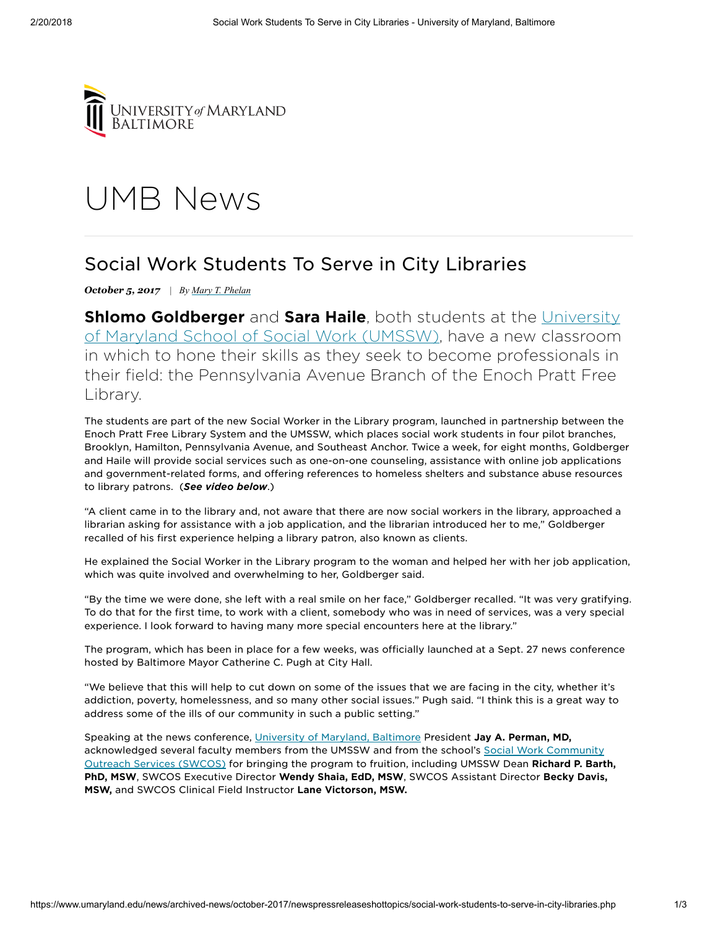

## UMB [News](https://www.umaryland.edu/news/)

## Social Work Students To Serve in City Libraries

*October 5, 2017 | By Mary T. [Phelan](mailto:maryphelan@umaryland.edu)*

**Shlomo [Goldberger](mailto:http://www.ssw.umaryland.edu/)** and **Sara Haile**, both students at the University of Maryland School of Social Work (UMSSW), have a new classroom in which to hone their skills as they seek to become professionals in their field: the Pennsylvania Avenue Branch of the Enoch Pratt Free Library.

The students are part of the new Social Worker in the Library program, launched in partnership between the Enoch Pratt Free Library System and the UMSSW, which places social work students in four pilot branches, Brooklyn, Hamilton, Pennsylvania Avenue, and Southeast Anchor. Twice a week, for eight months, Goldberger and Haile will provide social services such as one-on-one counseling, assistance with online job applications and government-related forms, and offering references to homeless shelters and substance abuse resources to library patrons. (See video below.)

"A client came in to the library and, not aware that there are now social workers in the library, approached a librarian asking for assistance with a job application, and the librarian introduced her to me," Goldberger recalled of his first experience helping a library patron, also known as clients.

He explained the Social Worker in the Library program to the woman and helped her with her job application, which was quite involved and overwhelming to her, Goldberger said.

"By the time we were done, she left with a real smile on her face," Goldberger recalled. "It was very gratifying. To do that for the first time, to work with a client, somebody who was in need of services, was a very special experience. I look forward to having many more special encounters here at the library."

The program, which has been in place for a few weeks, was officially launched at a Sept. 27 news conference hosted by Baltimore Mayor Catherine C. Pugh at City Hall.

"We believe that this will help to cut down on some of the issues that we are facing in the city, whether it's addiction, poverty, homelessness, and so many other social issues." Pugh said. "I think this is a great way to address some of the ills of our community in such a public setting."

Speaking at the news conference, [University of Maryland,](mailto:www.umaryland.edu) Baltimore President Jay A. Perman, MD, acknowledged several [faculty members](mailto:http://www.ssw.umaryland.edu/swcos/) from the UMSSW and from the school's Social Work Community Outreach Services (SWCOS) for bringing the program to fruition, including UMSSW Dean Richard P. Barth, PhD, MSW, SWCOS Executive Director Wendy Shaia, EdD, MSW, SWCOS Assistant Director Becky Davis, MSW, and SWCOS Clinical Field Instructor Lane Victorson, MSW.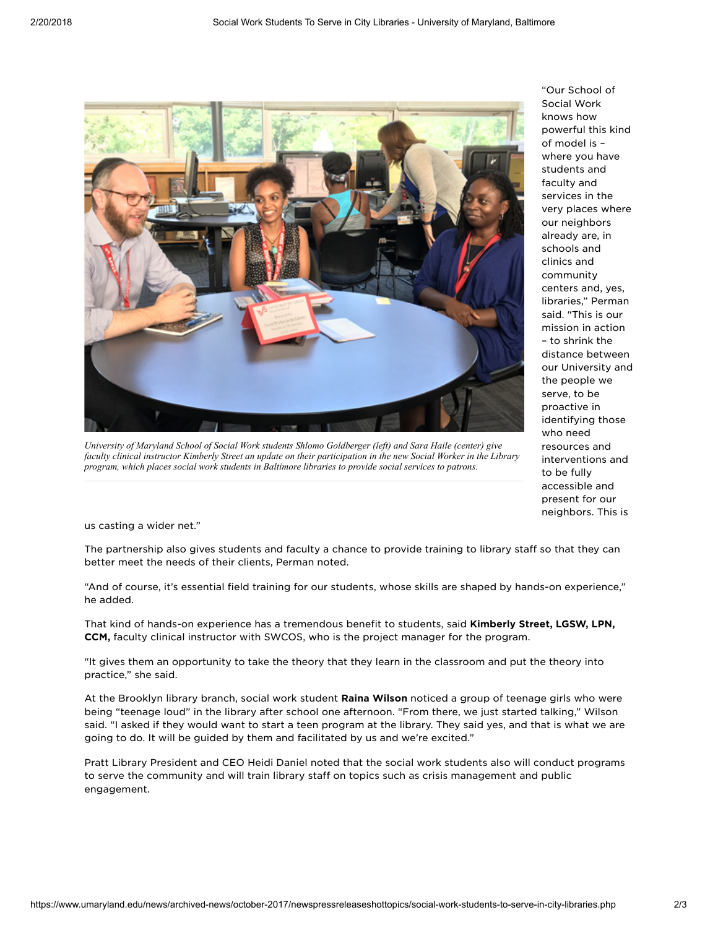

*University of Maryland School of Social Work students Shlomo Goldberger (left) and Sara Haile (center) give* faculty clinical instructor Kimberly Street an update on their participation in the new Social Worker in the Library *program, which places social work students in Baltimore libraries to provide social services to patrons.*

"Our School of Social Work knows how powerful this kind of model is – where you have students and faculty and services in the very places where our neighbors already are, in schools and clinics and community centers and, yes, libraries," Perman said. "This is our mission in action – to shrink the distance between our University and the people we serve, to be proactive in identifying those who need resources and interventions and to be fully accessible and present for our neighbors. This is

us casting a wider net."

The partnership also gives students and faculty a chance to provide training to library staff so that they can better meet the needs of their clients, Perman noted.

"And of course, it's essential field training for our students, whose skills are shaped by hands-on experience," he added.

That kind of hands-on experience has a tremendous benefit to students, said Kimberly Street, LGSW, LPN, CCM, faculty clinical instructor with SWCOS, who is the project manager for the program.

"It gives them an opportunity to take the theory that they learn in the classroom and put the theory into practice," she said.

At the Brooklyn library branch, social work student Raina Wilson noticed a group of teenage girls who were being "teenage loud" in the library after school one afternoon. "From there, we just started talking," Wilson said. "I asked if they would want to start a teen program at the library. They said yes, and that is what we are going to do. It will be guided by them and facilitated by us and we're excited."

Pratt Library President and CEO Heidi Daniel noted that the social work students also will conduct programs to serve the community and will train library staff on topics such as crisis management and public engagement.